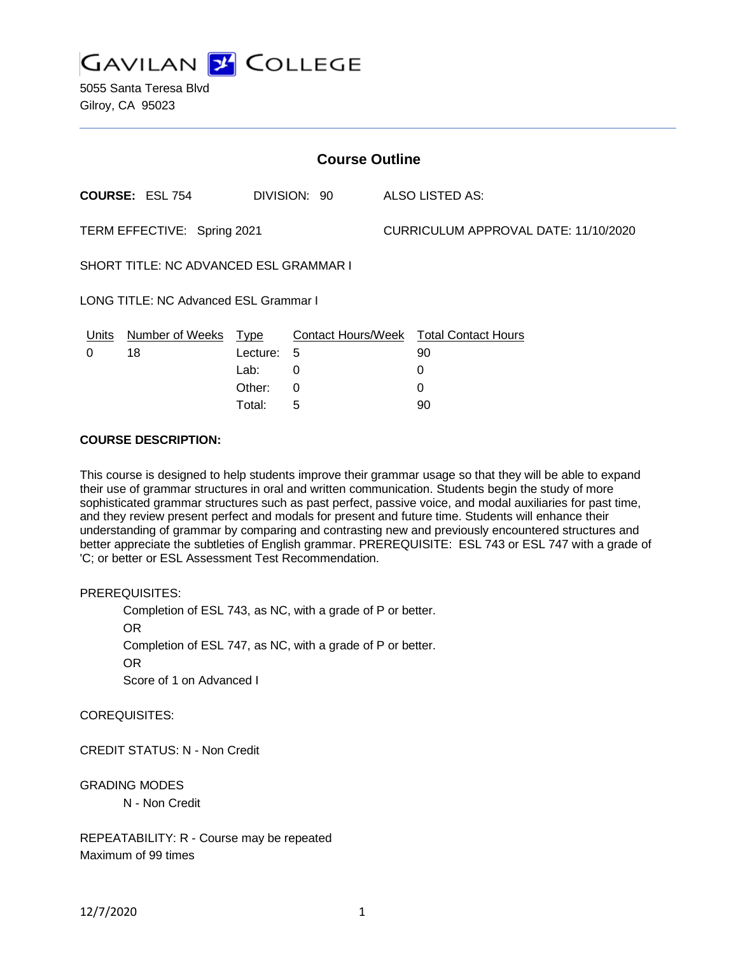**GAVILAN 2 COLLEGE** 

5055 Santa Teresa Blvd Gilroy, CA 95023

| <b>Course Outline</b>                  |                              |                           |              |                                      |                                              |
|----------------------------------------|------------------------------|---------------------------|--------------|--------------------------------------|----------------------------------------------|
|                                        | <b>COURSE: ESL 754</b>       |                           | DIVISION: 90 |                                      | ALSO LISTED AS:                              |
| TERM EFFECTIVE: Spring 2021            |                              |                           |              | CURRICULUM APPROVAL DATE: 11/10/2020 |                                              |
| SHORT TITLE: NC ADVANCED ESL GRAMMAR I |                              |                           |              |                                      |                                              |
| LONG TITLE: NC Advanced ESL Grammar I  |                              |                           |              |                                      |                                              |
| Units<br>$\Omega$                      | <b>Number of Weeks</b><br>18 | <u>Type</u><br>Lecture: 5 |              |                                      | Contact Hours/Week Total Contact Hours<br>90 |
|                                        |                              | Lab:<br>Other:            | 0<br>0       |                                      | 0<br>0                                       |

Total: 5 90

#### **COURSE DESCRIPTION:**

This course is designed to help students improve their grammar usage so that they will be able to expand their use of grammar structures in oral and written communication. Students begin the study of more sophisticated grammar structures such as past perfect, passive voice, and modal auxiliaries for past time, and they review present perfect and modals for present and future time. Students will enhance their understanding of grammar by comparing and contrasting new and previously encountered structures and better appreciate the subtleties of English grammar. PREREQUISITE: ESL 743 or ESL 747 with a grade of 'C; or better or ESL Assessment Test Recommendation.

PREREQUISITES:

Completion of ESL 743, as NC, with a grade of P or better. OR Completion of ESL 747, as NC, with a grade of P or better. OR Score of 1 on Advanced I

COREQUISITES:

CREDIT STATUS: N - Non Credit

GRADING MODES

N - Non Credit

REPEATABILITY: R - Course may be repeated Maximum of 99 times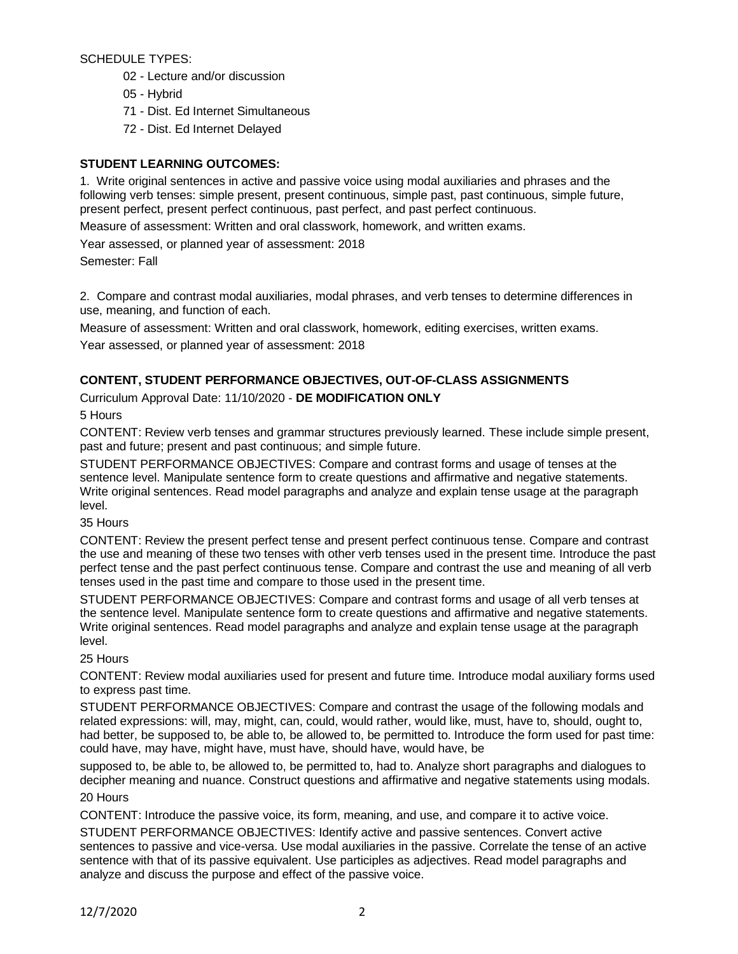SCHEDULE TYPES:

- 02 Lecture and/or discussion
- 05 Hybrid
- 71 Dist. Ed Internet Simultaneous
- 72 Dist. Ed Internet Delayed

# **STUDENT LEARNING OUTCOMES:**

1. Write original sentences in active and passive voice using modal auxiliaries and phrases and the following verb tenses: simple present, present continuous, simple past, past continuous, simple future, present perfect, present perfect continuous, past perfect, and past perfect continuous.

Measure of assessment: Written and oral classwork, homework, and written exams.

Year assessed, or planned year of assessment: 2018

Semester: Fall

2. Compare and contrast modal auxiliaries, modal phrases, and verb tenses to determine differences in use, meaning, and function of each.

Measure of assessment: Written and oral classwork, homework, editing exercises, written exams.

Year assessed, or planned year of assessment: 2018

## **CONTENT, STUDENT PERFORMANCE OBJECTIVES, OUT-OF-CLASS ASSIGNMENTS**

### Curriculum Approval Date: 11/10/2020 - **DE MODIFICATION ONLY**

5 Hours

CONTENT: Review verb tenses and grammar structures previously learned. These include simple present, past and future; present and past continuous; and simple future.

STUDENT PERFORMANCE OBJECTIVES: Compare and contrast forms and usage of tenses at the sentence level. Manipulate sentence form to create questions and affirmative and negative statements. Write original sentences. Read model paragraphs and analyze and explain tense usage at the paragraph level.

### 35 Hours

CONTENT: Review the present perfect tense and present perfect continuous tense. Compare and contrast the use and meaning of these two tenses with other verb tenses used in the present time. Introduce the past perfect tense and the past perfect continuous tense. Compare and contrast the use and meaning of all verb tenses used in the past time and compare to those used in the present time.

STUDENT PERFORMANCE OBJECTIVES: Compare and contrast forms and usage of all verb tenses at the sentence level. Manipulate sentence form to create questions and affirmative and negative statements. Write original sentences. Read model paragraphs and analyze and explain tense usage at the paragraph level.

### 25 Hours

CONTENT: Review modal auxiliaries used for present and future time. Introduce modal auxiliary forms used to express past time.

STUDENT PERFORMANCE OBJECTIVES: Compare and contrast the usage of the following modals and related expressions: will, may, might, can, could, would rather, would like, must, have to, should, ought to, had better, be supposed to, be able to, be allowed to, be permitted to. Introduce the form used for past time: could have, may have, might have, must have, should have, would have, be

supposed to, be able to, be allowed to, be permitted to, had to. Analyze short paragraphs and dialogues to decipher meaning and nuance. Construct questions and affirmative and negative statements using modals. 20 Hours

CONTENT: Introduce the passive voice, its form, meaning, and use, and compare it to active voice.

STUDENT PERFORMANCE OBJECTIVES: Identify active and passive sentences. Convert active sentences to passive and vice-versa. Use modal auxiliaries in the passive. Correlate the tense of an active sentence with that of its passive equivalent. Use participles as adjectives. Read model paragraphs and analyze and discuss the purpose and effect of the passive voice.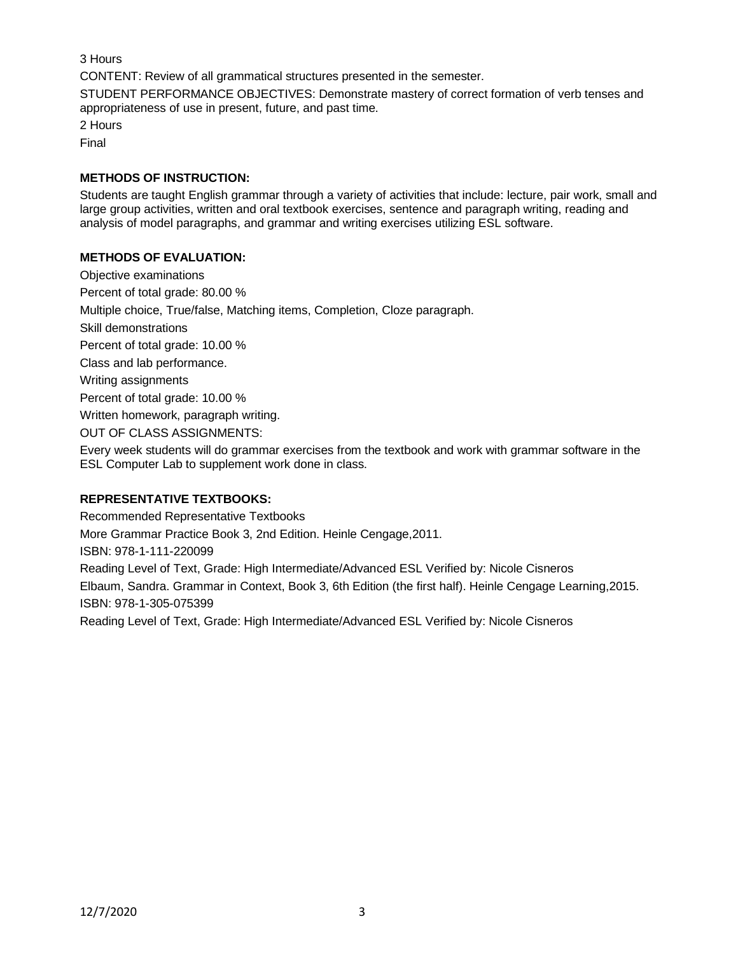3 Hours

CONTENT: Review of all grammatical structures presented in the semester.

STUDENT PERFORMANCE OBJECTIVES: Demonstrate mastery of correct formation of verb tenses and appropriateness of use in present, future, and past time.

2 Hours

Final

## **METHODS OF INSTRUCTION:**

Students are taught English grammar through a variety of activities that include: lecture, pair work, small and large group activities, written and oral textbook exercises, sentence and paragraph writing, reading and analysis of model paragraphs, and grammar and writing exercises utilizing ESL software.

## **METHODS OF EVALUATION:**

Objective examinations Percent of total grade: 80.00 % Multiple choice, True/false, Matching items, Completion, Cloze paragraph. Skill demonstrations Percent of total grade: 10.00 % Class and lab performance. Writing assignments Percent of total grade: 10.00 % Written homework, paragraph writing. OUT OF CLASS ASSIGNMENTS: Every week students will do grammar exercises from the textbook and work with grammar software in the ESL Computer Lab to supplement work done in class.

# **REPRESENTATIVE TEXTBOOKS:**

Recommended Representative Textbooks More Grammar Practice Book 3, 2nd Edition. Heinle Cengage,2011. ISBN: 978-1-111-220099 Reading Level of Text, Grade: High Intermediate/Advanced ESL Verified by: Nicole Cisneros Elbaum, Sandra. Grammar in Context, Book 3, 6th Edition (the first half). Heinle Cengage Learning,2015. ISBN: 978-1-305-075399 Reading Level of Text, Grade: High Intermediate/Advanced ESL Verified by: Nicole Cisneros